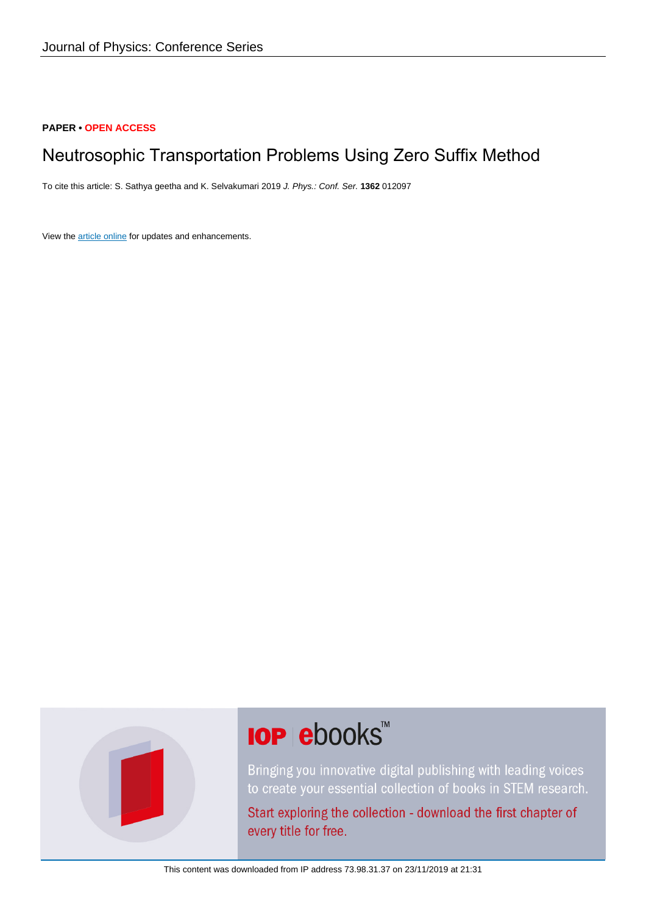# **PAPER • OPEN ACCESS**

# Neutrosophic Transportation Problems Using Zero Suffix Method

To cite this article: S. Sathya geetha and K. Selvakumari 2019 J. Phys.: Conf. Ser. **1362** 012097

View the [article online](https://doi.org/10.1088/1742-6596/1362/1/012097) for updates and enhancements.



# **IOP ebooks™**

Bringing you innovative digital publishing with leading voices to create your essential collection of books in STEM research.

Start exploring the collection - download the first chapter of every title for free.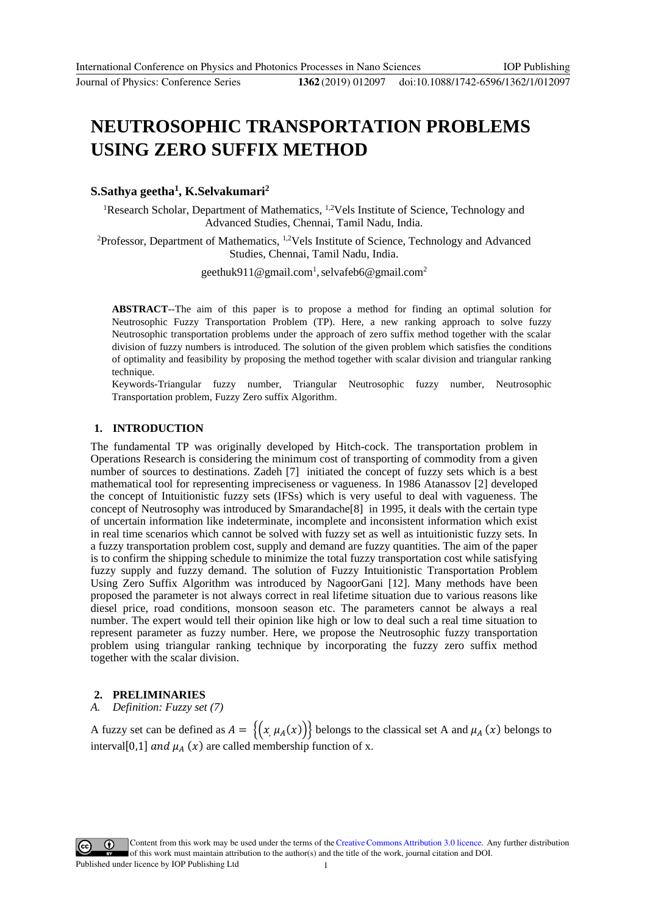#### doi:10.1088/1742-6596/1362/1/012097

# **NEUTROSOPHIC TRANSPORTATION PROBLEMS USING ZERO SUFFIX METHOD**

#### **S.Sathya geetha1, K.Selvakumari2**

<sup>1</sup>Research Scholar, Department of Mathematics, <sup>1,2</sup>Vels Institute of Science, Technology and Advanced Studies, Chen[nai, Tamil Nadu, India.](mailto:selvafeb6@gmail.com2)

<sup>2</sup>Professor, Department of Mathematics, <sup>1,2</sup>Vels Institute of Science, Technology and Advanced Studies, Chennai, Tamil Nadu, India.

geethuk911@gmail.com<sup>1</sup>, selvafeb6@gmail.com<sup>2</sup>

**ABSTRACT**--The aim of this paper is to propose a method for finding an optimal solution for Neutrosophic Fuzzy Transportation Problem (TP). Here, a new ranking approach to solve fuzzy Neutrosophic transportation problems under the approach of zero suffix method together with the scalar division of fuzzy numbers is introduced. The solution of the given problem which satisfies the conditions of optimality and feasibility by proposing the method together with scalar division and triangular ranking technique.

Keywords-Triangular fuzzy number, Triangular Neutrosophic fuzzy number, Neutrosophic Transportation problem, Fuzzy Zero suffix Algorithm.

## **1. INTRODUCTION**

The fundamental TP was originally developed by Hitch-cock. The transportation problem in Operations Research is considering the minimum cost of transporting of commodity from a given number of sources to destinations. Zadeh [7] initiated the concept of fuzzy sets which is a best mathematical tool for representing impreciseness or vagueness. In 1986 Atanassov [2] developed the concept of Intuitionistic fuzzy sets (IFSs) which is very useful to deal with vagueness. The concept of Neutrosophy was introduced by Smarandache[8] in 1995, it deals with the certain type of uncertain information like indeterminate, incomplete and inconsistent information which exist in real time scenarios which cannot be solved with fuzzy set as well as intuitionistic fuzzy sets. In a fuzzy transportation problem cost, supply and demand are fuzzy quantities. The aim of the paper is to confirm the shipping schedule to minimize the total fuzzy transportation cost while satisfying fuzzy supply and fuzzy demand. The solution of Fuzzy Intuitionistic Transportation Problem Using Zero Suffix Algorithm was introduced by NagoorGani [12]. Many methods have been proposed the parameter is not always correct in real lifetime situation due to various reasons like diesel price, road conditions, monsoon season etc. The parameters cannot be always a real number. The expert would tell their opinion like high or low to deal such a real time situation to represent parameter as fuzzy number. Here, we propose the Neutrosophic fuzzy transportation problem using triangular ranking technique by incorporating the fuzzy zero suffix method together with the scalar division.

#### **2. PRELIMINARIES**

#### *A. Definition: Fuzzy set (7)*

A fuzzy set can be defined as  $A = \{(x, \mu_A(x))\}$  belongs to the classical set A and  $\mu_A(x)$  belongs to interval[0,1] and  $\mu_A(x)$  are called membership function of x.

Content from this work may be used under the terms of the Creative Commons Attribution 3.0 licence. Any further distribution of this work must maintain attribution to the author(s) and the title of the work, journal citation and DOI. Published under licence by IOP Publishing Ltd 1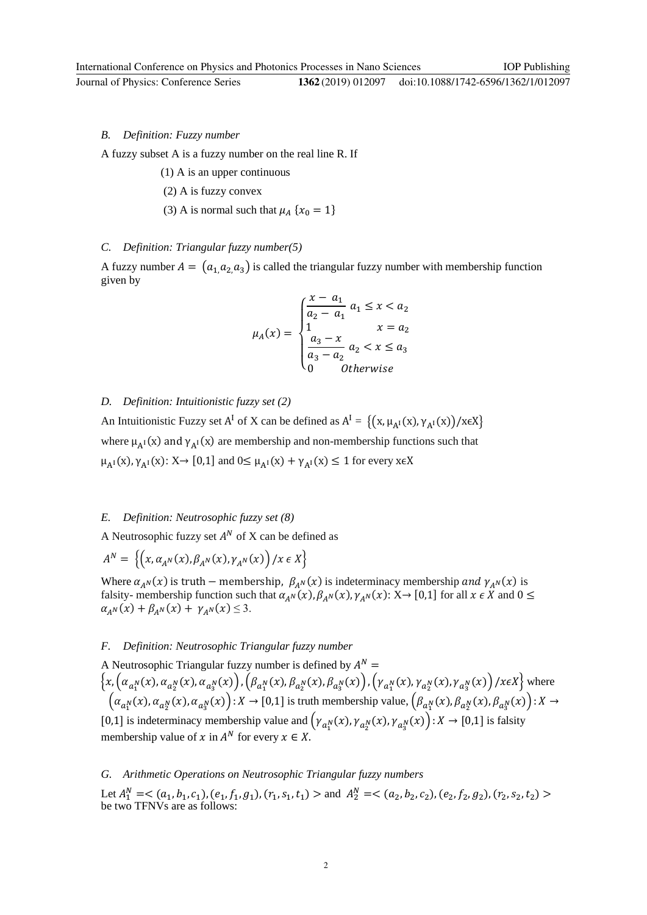IOP Publishing

A fuzzy subset A is a fuzzy number on the real line R. If

- (1) A is an upper continuous
- (2) A is fuzzy convex
- (3) A is normal such that  $\mu_A$  { $x_0 = 1$ }

#### *C. Definition: Triangular fuzzy number(5)*

A fuzzy number  $A = (a_{1}, a_{2}, a_{3})$  is called the triangular fuzzy number with membership function given by

$$
\mu_A(x) = \begin{cases} \frac{x - a_1}{a_2 - a_1} & a_1 \leq x < a_2 \\ 1 & x = a_2 \\ \frac{a_3 - x}{a_3 - a_2} & a_2 < x \leq a_3 \\ 0 & \text{Otherwise} \end{cases}
$$

#### *D. Definition: Intuitionistic fuzzy set (2)*

An Intuitionistic Fuzzy set A<sup>I</sup> of X can be defined as  $A^I = \{(x, \mu_{A^I}(x), \gamma_{A^I}(x))/x \in X\}$ where  $\mu_{A^{I}}(x)$  and  $\gamma_{A^{I}}(x)$  are membership and non-membership functions such that  $\mu_{A^{I}}(x), \gamma_{A^{I}}(x): X \rightarrow [0,1]$  and  $0 \leq \mu_{A^{I}}(x) + \gamma_{A^{I}}(x) \leq 1$  for every x $\epsilon X$ 

### *E. Definition: Neutrosophic fuzzy set (8)*

A Neutrosophic fuzzy set  $A^N$  of X can be defined as

$$
A^N = \left\{ \left( x, \alpha_{A^N}(x), \beta_{A^N}(x), \gamma_{A^N}(x) \right) / x \in X \right\}
$$

Where  $\alpha_{A^N}(x)$  is truth – membership,  $\beta_{A^N}(x)$  is indeterminacy membership and  $\gamma_{A^N}(x)$  is falsity- membership function such that  $\alpha_{A^N}(x)$ ,  $\beta_{A^N}(x)$ ,  $\gamma_{A^N}(x)$ : X $\rightarrow$  [0,1] for all  $x \in X$  and  $0 \le$  $\alpha_{A^{N}}(x) + \beta_{A^{N}}(x) + \gamma_{A^{N}}(x) \leq 3.$ 

#### *F. Definition: Neutrosophic Triangular fuzzy number*

A Neutrosophic Triangular fuzzy number is defined by  $A^N =$  $\{x, (\alpha_{a_1^N}(x), \alpha_{a_2^N}(x), \alpha_{a_3^N}(x)), (\beta_{a_1^N}(x), \beta_{a_2^N}(x), \beta_{a_3^N}(x)), (\gamma_{a_1^N}(x), \gamma_{a_2^N}(x), \gamma_{a_3^N}(x)) \text{ / } x \in X\}$  where  $(\alpha_{a_1^N}(x), \alpha_{a_2^N}(x), \alpha_{a_3^N}(x)) : X \to [0,1]$  is truth membership value,  $(\beta_{a_1^N}(x), \beta_{a_2^N}(x), \beta_{a_3^N}(x)) : X \to [0,1]$ [0,1] is indeterminacy membership value and  $(\gamma_{a_1^N}(x), \gamma_{a_2^N}(x), \gamma_{a_3^N}(x)) : X \to [0,1]$  is falsity membership value of  $x$  in  $A^N$  for every  $x \in X$ .

#### *G. Arithmetic Operations on Neutrosophic Triangular fuzzy numbers*

Let  $A_1^N = \langle (a_1, b_1, c_1), (e_1, f_1, g_1), (r_1, s_1, t_1) \rangle$  and  $A_2^N = \langle (a_2, b_2, c_2), (e_2, f_2, g_2), (r_2, s_2, t_2) \rangle$ be two TFNVs are as follows: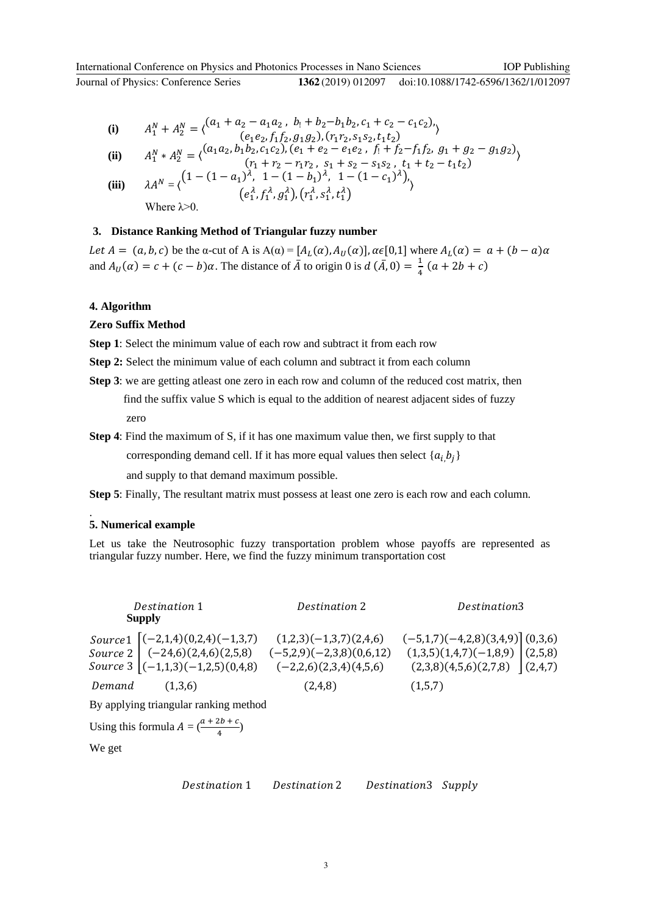doi:10.1088/1742-6596/1362/1/012097

(i) 
$$
A_1^N + A_2^N = \langle \begin{matrix} (a_1 + a_2 - a_1 a_2, b_1 + b_2 - b_1 b_2, c_1 + c_2 - c_1 c_2), \\ (e_1 e_2, f_1 f_2, g_1 g_2), (r_1 r_2, s_1 s_2, t_1 t_2) \end{matrix} \rangle
$$

$$
\textbf{(ii)} \qquad A_1^N * A_2^N = \langle \begin{matrix} (a_1 a_2, b_1 b_2, c_1 c_2), (e_1 + e_2 - e_1 e_2, f_1 + f_2 - f_1 f_2, g_1 + g_2 - g_1 g_2) \\ (r_1 + r_2 - r_1 r_2, s_1 + s_2 - s_1 s_2, t_1 + t_2 - t_1 t_2) \end{matrix} \rangle
$$

(iii) 
$$
\lambda A^N = \langle (1 - (1 - a_1)^{\lambda}, 1 - (1 - b_1)^{\lambda}, 1 - (1 - c_1)^{\lambda}),
$$

$$
(e_1^{\lambda}, f_1^{\lambda}, g_1^{\lambda}), (r_1^{\lambda}, s_1^{\lambda}, t_1^{\lambda})
$$
  
Where  $\lambda > 0$ .

**3. Distance Ranking Method of Triangular fuzzy number**

Let  $A = (a, b, c)$  be the α-cut of A is  $A(\alpha) = [A_L(\alpha), A_U(\alpha)]$ ,  $\alpha \in [0,1]$  where  $A_L(\alpha) = \alpha + (b - a)\alpha$ and  $A_U(\alpha) = c + (c - b)\alpha$ . The distance of  $\overline{A}$  to origin 0 is  $d(\overline{A}, 0) = \frac{1}{4}(a + 2b + c)$ 

## **4. Algorithm**

#### **Zero Suffix Method**

**Step 1**: Select the minimum value of each row and subtract it from each row

- **Step 2:** Select the minimum value of each column and subtract it from each column
- **Step 3**: we are getting atleast one zero in each row and column of the reduced cost matrix, then find the suffix value S which is equal to the addition of nearest adjacent sides of fuzzy zero
- **Step 4**: Find the maximum of S, if it has one maximum value then, we first supply to that corresponding demand cell. If it has more equal values then select  $\{a_{i}, b_{j}\}$

and supply to that demand maximum possible.

**Step 5**: Finally, The resultant matrix must possess at least one zero is each row and each column.

#### **5. Numerical example**

.

Let us take the Neutrosophic fuzzy transportation problem whose payoffs are represented as triangular fuzzy number. Here, we find the fuzzy minimum transportation cost

|                                       | Destination 1<br><b>Supply</b>                                                                                        | Destination 2                                                                      | Destination3                                                                                             |  |  |  |  |  |  |  |
|---------------------------------------|-----------------------------------------------------------------------------------------------------------------------|------------------------------------------------------------------------------------|----------------------------------------------------------------------------------------------------------|--|--|--|--|--|--|--|
|                                       | Source1 $[(-2,1,4)(0,2,4)(-1,3,7)]$<br>Source 2 $\Big  (-24,6)(2,4,6)(2,5,8)$<br>Source 3 $ (-1,1,3)(-1,2,5)(0,4,8) $ | $(1,2,3)(-1,3,7)(2,4,6)$<br>$(-5,2,9)(-2,3,8)(0,6,12)$<br>$(-2,2,6)(2,3,4)(4,5,6)$ | $(-5,1,7)(-4,2,8)(3,4,9)$ (0,3,6)<br>(1,3,5)(1,4,7)(-1,8,9) (2,5,8)<br>$(2,3,8)(4,5,6)(2,7,8)$ $(2,4,7)$ |  |  |  |  |  |  |  |
|                                       | Demand $(1,3,6)$                                                                                                      | (2,4,8)                                                                            | (1,5,7)                                                                                                  |  |  |  |  |  |  |  |
| By applying triangular ranking method |                                                                                                                       |                                                                                    |                                                                                                          |  |  |  |  |  |  |  |

Using this formula  $A = \left(\frac{a + 2b + c}{4}\right)$ 

We get

Destination 1 Destination 2 Destination 3 Supply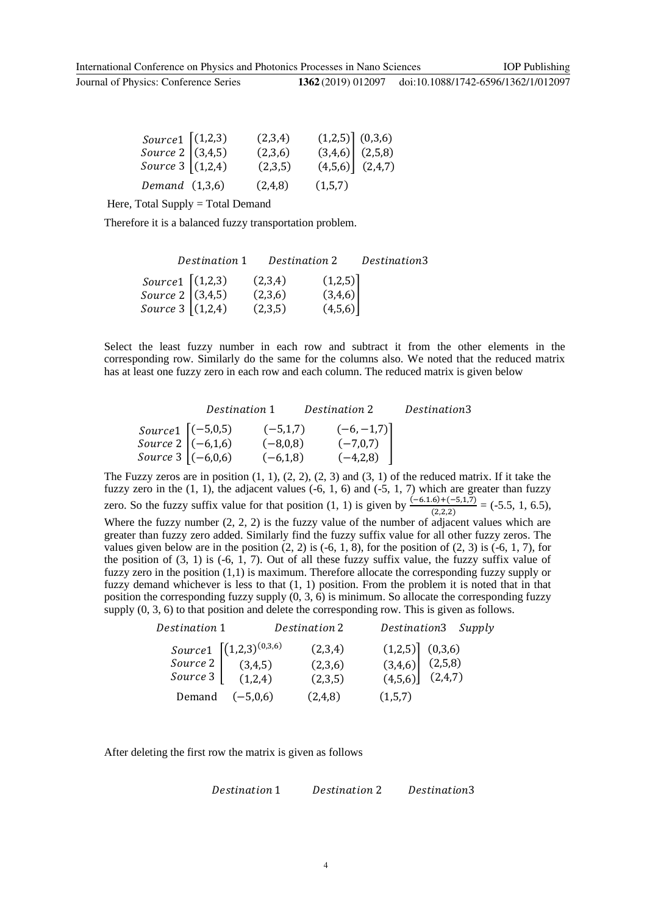| Source $1 \mid (1,2,3)$                  | (2,3,4) |                                                                   |  |
|------------------------------------------|---------|-------------------------------------------------------------------|--|
|                                          | (2,3,6) |                                                                   |  |
| Source 2 $(3,4,5)$<br>Source 3 $(1,2,4)$ | (2,3,5) | $(1,2,5)$ $(0,3,6)$<br>$(3,4,6)$ $(2,5,8)$<br>$(4,5,6)$ $(2,4,7)$ |  |
| Demand $(1,3,6)$                         | (2,4,8) | (1,5,7)                                                           |  |

Here, Total Supply = Total Demand

Therefore it is a balanced fuzzy transportation problem.

|                                                                                           | Destination 1 | Destination 2 |                                                    | Destination3 |  |  |  |  |
|-------------------------------------------------------------------------------------------|---------------|---------------|----------------------------------------------------|--------------|--|--|--|--|
|                                                                                           |               | (2,3,4)       |                                                    |              |  |  |  |  |
| Source1 $\begin{cases} (1,2,3) \\ Source 2 \\ (3,4,5) \\ Source 3 \\ (1,2,4) \end{cases}$ |               | (2,3,6)       | $\begin{bmatrix} (1,2,5) \\ (3,4,6) \end{bmatrix}$ |              |  |  |  |  |
|                                                                                           |               | (2,3,5)       | (4,5,6)                                            |              |  |  |  |  |

Select the least fuzzy number in each row and subtract it from the other elements in the corresponding row. Similarly do the same for the columns also. We noted that the reduced matrix has at least one fuzzy zero in each row and each column. The reduced matrix is given below

|                                                                                                                              | Destination 1 |            | Destination 2 | Destination3 |
|------------------------------------------------------------------------------------------------------------------------------|---------------|------------|---------------|--------------|
|                                                                                                                              |               | $(-5,1,7)$ | $(-6, -1, 7)$ |              |
|                                                                                                                              |               | $(-8,0,8)$ | $(-7,0,7)$    |              |
| Source 1 $\begin{bmatrix} (-5,0,5) \\ 5,0,0) \end{bmatrix}$<br>Source 3 $\begin{bmatrix} (-6,1,6) \\ (-6,0,6) \end{bmatrix}$ |               | $(-6,1,8)$ | $(-4,2,8)$    |              |

The Fuzzy zeros are in position  $(1, 1)$ ,  $(2, 2)$ ,  $(2, 3)$  and  $(3, 1)$  of the reduced matrix. If it take the fuzzy zero in the  $(1, 1)$ , the adjacent values  $(-6, 1, 6)$  and  $(-5, 1, 7)$  which are greater than fuzzy zero. So the fuzzy suffix value for that position (1, 1) is given by  $\frac{(-6.1.6) + (-5.1,7)}{(2.2.2)} = (-5.5, 1, 6.5)$ , Where the fuzzy number  $(2, 2, 2)$  is the fuzzy value of the number of adjacent values which are greater than fuzzy zero added. Similarly find the fuzzy suffix value for all other fuzzy zeros. The values given below are in the position  $(2, 2)$  is  $(-6, 1, 8)$ , for the position of  $(2, 3)$  is  $(-6, 1, 7)$ , for the position of  $(3, 1)$  is  $(-6, 1, 7)$ . Out of all these fuzzy suffix value, the fuzzy suffix value of fuzzy zero in the position (1,1) is maximum. Therefore allocate the corresponding fuzzy supply or fuzzy demand whichever is less to that (1, 1) position. From the problem it is noted that in that position the corresponding fuzzy supply  $(0, 3, 6)$  is minimum. So allocate the corresponding fuzzy supply (0, 3, 6) to that position and delete the corresponding row. This is given as follows.

| Destination 1      |                                                                      | Destination 2 | Destination3 Supply                                               |  |
|--------------------|----------------------------------------------------------------------|---------------|-------------------------------------------------------------------|--|
|                    | Source 1 $\begin{bmatrix} (1,2,3)^{(0,3,6)} \\ 3,4,5) \end{bmatrix}$ | (2,3,4)       | $(1,2,5)$ $(0,3,6)$<br>$(3,4,6)$ $(2,5,8)$<br>$(4,5,6)$ $(2,4,7)$ |  |
|                    |                                                                      | (2,3,6)       |                                                                   |  |
| Source 3 $(1,2,4)$ |                                                                      | (2,3,5)       |                                                                   |  |
|                    | Demand $(-5,0,6)$                                                    | (2,4,8)       | (1,5,7)                                                           |  |

After deleting the first row the matrix is given as follows

Destination 1 Destination 2 Destination 3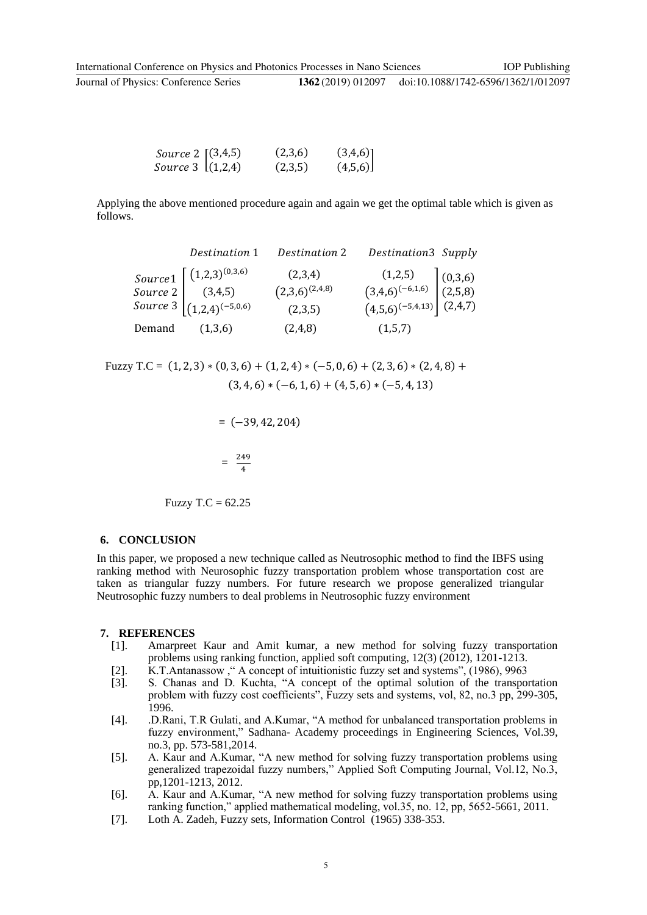| _____ |  |  |  |  |  |  |  |  |  |  |  |  |  |  |  |  |
|-------|--|--|--|--|--|--|--|--|--|--|--|--|--|--|--|--|
|       |  |  |  |  |  |  |  |  |  |  |  |  |  |  |  |  |
|       |  |  |  |  |  |  |  |  |  |  |  |  |  |  |  |  |
|       |  |  |  |  |  |  |  |  |  |  |  |  |  |  |  |  |

| <i>Source</i> 2 $(3,4,5)$ | (2,3,6) | $(3,4,6)$ ] |
|---------------------------|---------|-------------|
| <i>Source</i> 3 $(1,2,4)$ | (2,3,5) | (4,5,6)     |

Applying the above mentioned procedure again and again we get the optimal table which is given as follows.

|        | Destination 1                                                                                                                                        | Destination 2                             | Destination3 Supply                                                     |  |
|--------|------------------------------------------------------------------------------------------------------------------------------------------------------|-------------------------------------------|-------------------------------------------------------------------------|--|
|        | $\begin{array}{l} Source1\\ Source2\\ Source3\\ Source3\\ \end{array}\begin{bmatrix} (1,2,3)^{(0,3,6)}\\ (3,4,5)\\ (1,2,4)^{(-5,0,6)} \end{bmatrix}$ | (2,3,4)<br>$(2,3,6)^{(2,4,8)}$<br>(2,3,5) | $(1,2,5)$<br>$(3,4,6)^{(-6,1,6)}$<br>$(4,5,6)^{(-5,4,13)}$<br>$(2,4,7)$ |  |
| Demand | (1,3,6)                                                                                                                                              | (2,4,8)                                   | (1,5,7)                                                                 |  |

Fuzzy T.C =  $(1, 2, 3) * (0, 3, 6) + (1, 2, 4) * (-5, 0, 6) + (2, 3, 6) * (2, 4, 8) +$  $(3, 4, 6) * (-6, 1, 6) + (4, 5, 6) * (-5, 4, 13)$ 

 **=** (−39, 42, 204)  $=\frac{249}{4}$ 

Fuzzy T.C =  $62.25$ 

#### **6. CONCLUSION**

In this paper, we proposed a new technique called as Neutrosophic method to find the IBFS using ranking method with Neurosophic fuzzy transportation problem whose transportation cost are taken as triangular fuzzy numbers. For future research we propose generalized triangular Neutrosophic fuzzy numbers to deal problems in Neutrosophic fuzzy environment

#### **7. REFERENCES**

- [1]. Amarpreet Kaur and Amit kumar, a new method for solving fuzzy transportation problems using ranking function, applied soft computing, 12(3) (2012), 1201-1213.
- [2]. K.T.Antanassow ," A concept of intuitionistic fuzzy set and systems", (1986), 9963
- [3]. S. Chanas and D. Kuchta, "A concept of the optimal solution of the transportation problem with fuzzy cost coefficients", Fuzzy sets and systems, vol, 82, no.3 pp, 299-305, 1996.
- [4]. .D.Rani, T.R Gulati, and A.Kumar, "A method for unbalanced transportation problems in fuzzy environment," Sadhana- Academy proceedings in Engineering Sciences, Vol.39, no.3, pp. 573-581,2014.
- [5]. A. Kaur and A.Kumar, "A new method for solving fuzzy transportation problems using generalized trapezoidal fuzzy numbers," Applied Soft Computing Journal, Vol.12, No.3, pp,1201-1213, 2012.
- [6]. A. Kaur and A.Kumar, "A new method for solving fuzzy transportation problems using ranking function," applied mathematical modeling, vol.35, no. 12, pp, 5652-5661, 2011.
- [7]. Loth A. Zadeh, Fuzzy sets, Information Control (1965) 338-353.